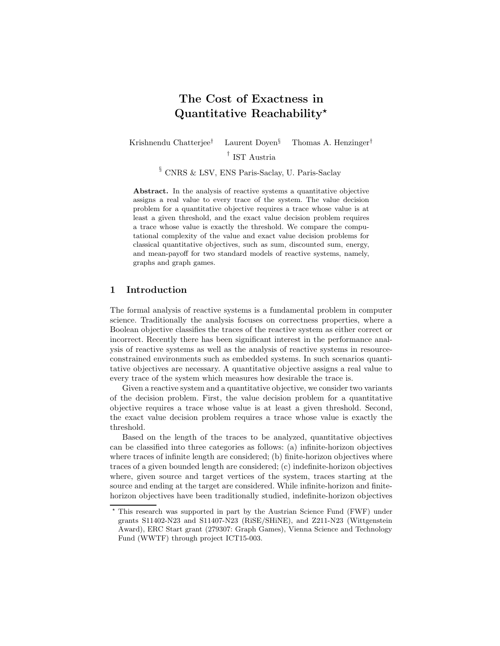# The Cost of Exactness in Quantitative Reachability<sup>\*</sup>

Krishnendu Chatterjee† Laurent Doyen§ Thomas A. Henzinger† † IST Austria

 $^{\S}$  CNRS & LSV, ENS Paris-Saclay, U. Paris-Saclay

Abstract. In the analysis of reactive systems a quantitative objective assigns a real value to every trace of the system. The value decision problem for a quantitative objective requires a trace whose value is at least a given threshold, and the exact value decision problem requires a trace whose value is exactly the threshold. We compare the computational complexity of the value and exact value decision problems for classical quantitative objectives, such as sum, discounted sum, energy, and mean-payoff for two standard models of reactive systems, namely, graphs and graph games.

# 1 Introduction

The formal analysis of reactive systems is a fundamental problem in computer science. Traditionally the analysis focuses on correctness properties, where a Boolean objective classifies the traces of the reactive system as either correct or incorrect. Recently there has been significant interest in the performance analysis of reactive systems as well as the analysis of reactive systems in resourceconstrained environments such as embedded systems. In such scenarios quantitative objectives are necessary. A quantitative objective assigns a real value to every trace of the system which measures how desirable the trace is.

Given a reactive system and a quantitative objective, we consider two variants of the decision problem. First, the value decision problem for a quantitative objective requires a trace whose value is at least a given threshold. Second, the exact value decision problem requires a trace whose value is exactly the threshold.

Based on the length of the traces to be analyzed, quantitative objectives can be classified into three categories as follows: (a) infinite-horizon objectives where traces of infinite length are considered; (b) finite-horizon objectives where traces of a given bounded length are considered; (c) indefinite-horizon objectives where, given source and target vertices of the system, traces starting at the source and ending at the target are considered. While infinite-horizon and finitehorizon objectives have been traditionally studied, indefinite-horizon objectives

<sup>⋆</sup> This research was supported in part by the Austrian Science Fund (FWF) under grants S11402-N23 and S11407-N23 (RiSE/SHiNE), and Z211-N23 (Wittgenstein Award), ERC Start grant (279307: Graph Games), Vienna Science and Technology Fund (WWTF) through project ICT15-003.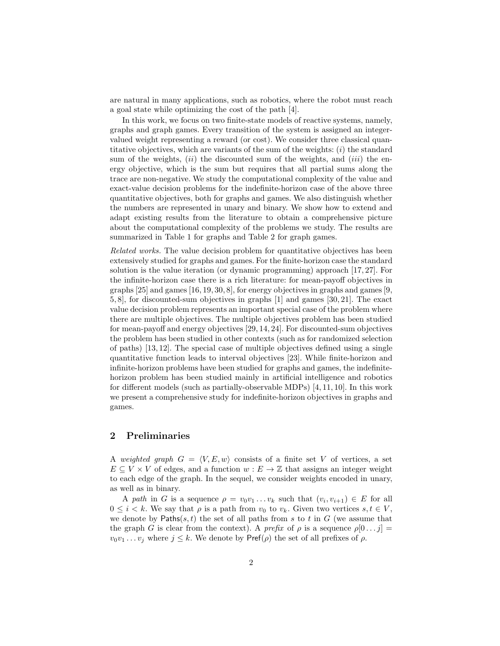are natural in many applications, such as robotics, where the robot must reach a goal state while optimizing the cost of the path [4].

In this work, we focus on two finite-state models of reactive systems, namely, graphs and graph games. Every transition of the system is assigned an integervalued weight representing a reward (or cost). We consider three classical quantitative objectives, which are variants of the sum of the weights:  $(i)$  the standard sum of the weights,  $(ii)$  the discounted sum of the weights, and  $(iii)$  the energy objective, which is the sum but requires that all partial sums along the trace are non-negative. We study the computational complexity of the value and exact-value decision problems for the indefinite-horizon case of the above three quantitative objectives, both for graphs and games. We also distinguish whether the numbers are represented in unary and binary. We show how to extend and adapt existing results from the literature to obtain a comprehensive picture about the computational complexity of the problems we study. The results are summarized in Table 1 for graphs and Table 2 for graph games.

Related works. The value decision problem for quantitative objectives has been extensively studied for graphs and games. For the finite-horizon case the standard solution is the value iteration (or dynamic programming) approach [17, 27]. For the infinite-horizon case there is a rich literature: for mean-payoff objectives in graphs  $[25]$  and games  $[16, 19, 30, 8]$ , for energy objectives in graphs and games  $[9, 9]$ 5, 8], for discounted-sum objectives in graphs [1] and games [30, 21]. The exact value decision problem represents an important special case of the problem where there are multiple objectives. The multiple objectives problem has been studied for mean-payoff and energy objectives [29, 14, 24]. For discounted-sum objectives the problem has been studied in other contexts (such as for randomized selection of paths) [13, 12]. The special case of multiple objectives defined using a single quantitative function leads to interval objectives [23]. While finite-horizon and infinite-horizon problems have been studied for graphs and games, the indefinitehorizon problem has been studied mainly in artificial intelligence and robotics for different models (such as partially-observable MDPs) [4, 11, 10]. In this work we present a comprehensive study for indefinite-horizon objectives in graphs and games.

# 2 Preliminaries

A weighted graph  $G = \langle V, E, w \rangle$  consists of a finite set V of vertices, a set  $E \subseteq V \times V$  of edges, and a function  $w : E \to \mathbb{Z}$  that assigns an integer weight to each edge of the graph. In the sequel, we consider weights encoded in unary, as well as in binary.

A path in G is a sequence  $\rho = v_0v_1 \ldots v_k$  such that  $(v_i, v_{i+1}) \in E$  for all  $0 \leq i \leq k$ . We say that  $\rho$  is a path from  $v_0$  to  $v_k$ . Given two vertices  $s, t \in V$ , we denote by  $Paths(s, t)$  the set of all paths from s to t in G (we assume that the graph G is clear from the context). A prefix of  $\rho$  is a sequence  $\rho[0 \dots j] =$  $v_0v_1 \ldots v_j$  where  $j \leq k$ . We denote by  $\text{Pref}(\rho)$  the set of all prefixes of  $\rho$ .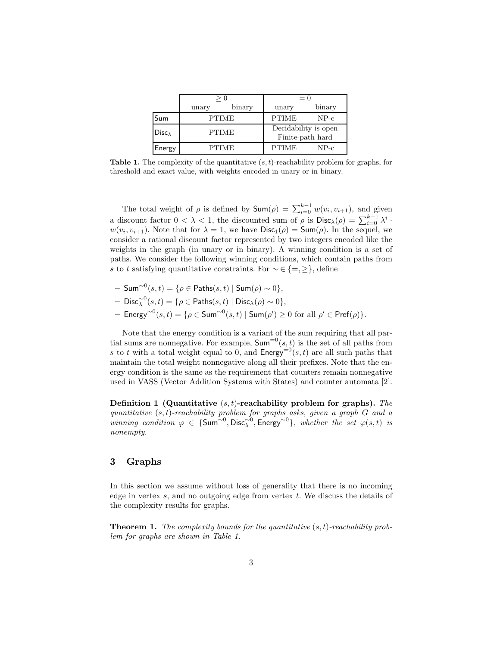|                   |              |        | $= 0$                                    |        |
|-------------------|--------------|--------|------------------------------------------|--------|
|                   | unary        | binary | unary                                    | binary |
| Sum               | PTIME        |        | <b>PTIME</b>                             | $NP-c$ |
| Disc <sub>λ</sub> | <b>PTIME</b> |        | Decidability is open<br>Finite-path hard |        |
| Energy            | <b>PTIME</b> |        | <b>PTIME</b>                             | $NP-c$ |

**Table 1.** The complexity of the quantitative  $(s, t)$ -reachability problem for graphs, for threshold and exact value, with weights encoded in unary or in binary.

The total weight of  $\rho$  is defined by  $\mathsf{Sum}(\rho) = \sum_{i=0}^{k-1} w(v_i, v_{i+1}),$  and given a discount factor  $0 < \lambda < 1$ , the discounted sum of  $\rho$  is  $Disc_{\lambda}(\rho) = \sum_{i=0}^{k-1} \lambda^i$ .  $w(v_i, v_{i+1})$ . Note that for  $\lambda = 1$ , we have  $Disc_1(\rho) = Sum(\rho)$ . In the sequel, we consider a rational discount factor represented by two integers encoded like the weights in the graph (in unary or in binary). A winning condition is a set of paths. We consider the following winning conditions, which contain paths from s to t satisfying quantitative constraints. For  $\sim \in \{ =, \geq \},$  define

$$
- \operatorname{Sum}^{\sim 0}(s, t) = \{ \rho \in \text{Paths}(s, t) \mid \operatorname{Sum}(\rho) \sim 0 \},
$$
  
- \operatorname{Disc}\_{\lambda}^{\sim 0}(s, t) = \{ \rho \in \text{Paths}(s, t) \mid \operatorname{Disc}\_{\lambda}(\rho) \sim 0 \},\  
- \operatorname{Energy}^{\sim 0}(s, t) = \{ \rho \in \operatorname{Sum}^{\sim 0}(s, t) \mid \operatorname{Sum}(\rho') \ge 0 \text{ for all } \rho' \in \operatorname{Pref}(\rho) \}.

Note that the energy condition is a variant of the sum requiring that all partial sums are nonnegative. For example,  $Sum<sup>=0</sup>(s, t)$  is the set of all paths from s to t with a total weight equal to 0, and  $\mathsf{Energy}^{=0}(s,t)$  are all such paths that maintain the total weight nonnegative along all their prefixes. Note that the energy condition is the same as the requirement that counters remain nonnegative used in VASS (Vector Addition Systems with States) and counter automata [2].

Definition 1 (Quantitative  $(s, t)$ -reachability problem for graphs). The quantitative  $(s, t)$ -reachability problem for graphs asks, given a graph  $G$  and a winning condition  $\varphi \in \{\textsf{Sum}^{\sim 0}, \textsf{Disc}^{\sim 0}_\lambda, \textsf{Energy}^{\sim 0}\},$  whether the set  $\varphi(s,t)$  is nonempty.

# 3 Graphs

In this section we assume without loss of generality that there is no incoming edge in vertex  $s$ , and no outgoing edge from vertex  $t$ . We discuss the details of the complexity results for graphs.

**Theorem 1.** The complexity bounds for the quantitative  $(s, t)$ -reachability problem for graphs are shown in Table 1.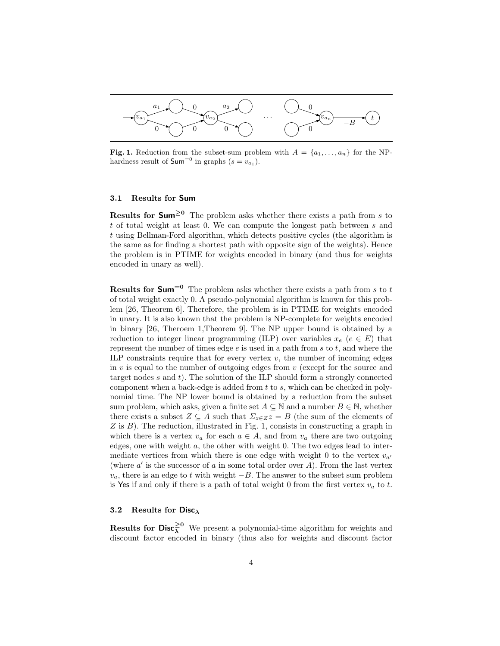

Fig. 1. Reduction from the subset-sum problem with  $A = \{a_1, \ldots, a_n\}$  for the NPhardness result of  $\mathsf{Sum}^{=0}$  in graphs  $(s = v_{a_1})$ .

#### 3.1 Results for Sum

**Results for Sum<sup>20</sup>** The problem asks whether there exists a path from s to t of total weight at least 0. We can compute the longest path between s and t using Bellman-Ford algorithm, which detects positive cycles (the algorithm is the same as for finding a shortest path with opposite sign of the weights). Hence the problem is in PTIME for weights encoded in binary (and thus for weights encoded in unary as well).

**Results for Sum<sup>=0</sup>** The problem asks whether there exists a path from s to t of total weight exactly 0. A pseudo-polynomial algorithm is known for this problem [26, Theorem 6]. Therefore, the problem is in PTIME for weights encoded in unary. It is also known that the problem is NP-complete for weights encoded in binary [26, Theroem 1,Theorem 9]. The NP upper bound is obtained by a reduction to integer linear programming (ILP) over variables  $x_e$  ( $e \in E$ ) that represent the number of times edge  $e$  is used in a path from s to t, and where the ILP constraints require that for every vertex  $v$ , the number of incoming edges in v is equal to the number of outgoing edges from  $v$  (except for the source and target nodes  $s$  and  $t$ ). The solution of the ILP should form a strongly connected component when a back-edge is added from t to s, which can be checked in polynomial time. The NP lower bound is obtained by a reduction from the subset sum problem, which asks, given a finite set  $A \subseteq \mathbb{N}$  and a number  $B \in \mathbb{N}$ , whether there exists a subset  $Z \subseteq A$  such that  $\Sigma_{z\in Z}z = B$  (the sum of the elements of  $Z$  is  $B$ ). The reduction, illustrated in Fig. 1, consists in constructing a graph in which there is a vertex  $v_a$  for each  $a \in A$ , and from  $v_a$  there are two outgoing edges, one with weight  $a$ , the other with weight 0. The two edges lead to intermediate vertices from which there is one edge with weight 0 to the vertex  $v_{\alpha'}$ (where  $a'$  is the successor of  $a$  in some total order over  $A$ ). From the last vertex  $v_a$ , there is an edge to t with weight  $-B$ . The answer to the subset sum problem is Yes if and only if there is a path of total weight 0 from the first vertex  $v_a$  to t.

#### 3.2 Results for  $Disc_{\lambda}$

**Results for Disc** $\geq^0$  We present a polynomial-time algorithm for weights and discount factor encoded in binary (thus also for weights and discount factor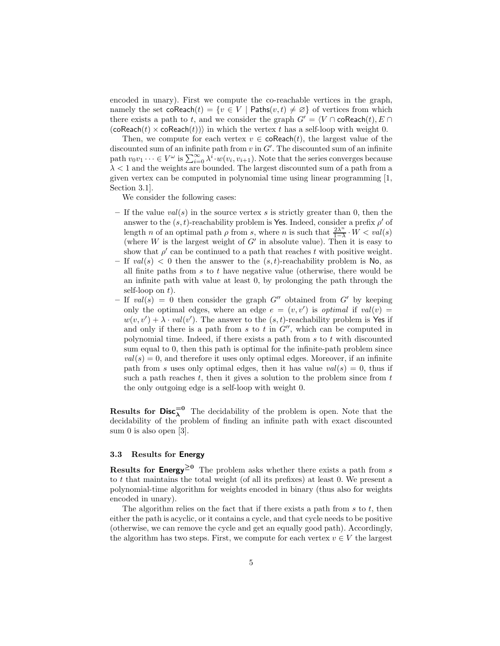encoded in unary). First we compute the co-reachable vertices in the graph, namely the set  $\text{coReach}(t) = \{v \in V \mid \text{Paths}(v, t) \neq \emptyset\}$  of vertices from which there exists a path to t, and we consider the graph  $G' = \langle V \cap \text{coReach}(t), E \cap$  $(coReach(t) \times coReach(t))$  in which the vertex t has a self-loop with weight 0.

Then, we compute for each vertex  $v \in \mathsf{coReach}(t)$ , the largest value of the discounted sum of an infinite path from  $v$  in  $G'$ . The discounted sum of an infinite path  $v_0v_1\cdots\in V^\omega$  is  $\sum_{i=0}^\infty \lambda^i\cdot w(v_i,v_{i+1})$ . Note that the series converges because  $\lambda$  < 1 and the weights are bounded. The largest discounted sum of a path from a given vertex can be computed in polynomial time using linear programming [1, Section 3.1].

We consider the following cases:

- If the value  $val(s)$  in the source vertex s is strictly greater than 0, then the answer to the  $(s, t)$ -reachability problem is Yes. Indeed, consider a prefix  $\rho'$  of length *n* of an optimal path  $\rho$  from *s*, where *n* is such that  $\frac{2\lambda^n}{1-\lambda}$  $\frac{2\lambda^n}{1-\lambda} \cdot W < val(s)$ (where  $W$  is the largest weight of  $G'$  in absolute value). Then it is easy to show that  $\rho'$  can be continued to a path that reaches t with positive weight.
- If  $val(s)$  < 0 then the answer to the  $(s, t)$ -reachability problem is No, as all finite paths from  $s$  to  $t$  have negative value (otherwise, there would be an infinite path with value at least 0, by prolonging the path through the self-loop on  $t$ ).
- If  $val(s) = 0$  then consider the graph  $G''$  obtained from  $G'$  by keeping only the optimal edges, where an edge  $e = (v, v')$  is *optimal* if  $val(v) =$  $w(v, v') + \lambda \cdot val(v')$ . The answer to the  $(s, t)$ -reachability problem is Yes if and only if there is a path from s to t in  $G''$ , which can be computed in polynomial time. Indeed, if there exists a path from  $s$  to  $t$  with discounted sum equal to 0, then this path is optimal for the infinite-path problem since  $val(s) = 0$ , and therefore it uses only optimal edges. Moreover, if an infinite path from s uses only optimal edges, then it has value  $val(s) = 0$ , thus if such a path reaches  $t$ , then it gives a solution to the problem since from  $t$ the only outgoing edge is a self-loop with weight 0.

**Results for Disc**<sup>{-0}</sup> The decidability of the problem is open. Note that the decidability of the problem of finding an infinite path with exact discounted sum 0 is also open [3].

#### 3.3 Results for Energy

**Results for Energy**<sup> $\geq 0$ </sup> The problem asks whether there exists a path from s to  $t$  that maintains the total weight (of all its prefixes) at least 0. We present a polynomial-time algorithm for weights encoded in binary (thus also for weights encoded in unary).

The algorithm relies on the fact that if there exists a path from  $s$  to  $t$ , then either the path is acyclic, or it contains a cycle, and that cycle needs to be positive (otherwise, we can remove the cycle and get an equally good path). Accordingly, the algorithm has two steps. First, we compute for each vertex  $v \in V$  the largest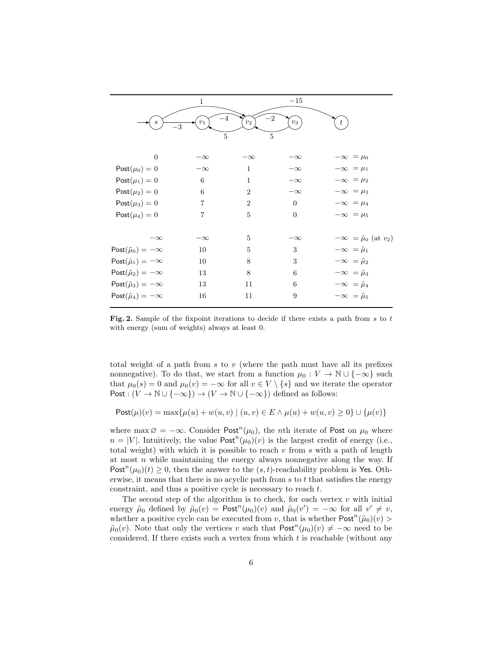|                                  | $\mathbf{1}$                         |                | $-15$                 |                                       |
|----------------------------------|--------------------------------------|----------------|-----------------------|---------------------------------------|
| $\boldsymbol{s}$                 | $^{-4}$<br>$\upsilon_1$<br>$-3$<br>5 | $v_2$          | $^{-2}$<br>$v_3$<br>5 | $t_{\rm}$                             |
| $\theta$                         | $-\infty$                            | $-\infty$      | $-\infty$             | $-\infty = \mu_0$                     |
| Post $(\mu_0) = 0$               | $-\infty$                            | $\mathbf{1}$   | $-\infty$             | $-\infty = \mu_1$                     |
| Post $(\mu_1)=0$                 | 6                                    | $\mathbf{1}$   | $-\infty$             | $-\infty = \mu_2$                     |
| Post $(\mu_2)=0$                 | 6                                    | $\overline{2}$ | $-\infty$             | $-\infty = \mu_3$                     |
| Post $(\mu_3)=0$                 | $\overline{7}$                       | $\overline{2}$ | $\overline{0}$        | $-\infty = \mu_4$                     |
| Post $(\mu_4)=0$                 | $\overline{7}$                       | 5              | $\overline{0}$        | $-\infty = \mu_5$                     |
|                                  |                                      |                |                       |                                       |
| $-\infty$                        | $-\infty$                            | 5              | $-\infty$             | $-\infty = \tilde{\mu}_0$ (at $v_2$ ) |
| Post $(\tilde{\mu}_0) = -\infty$ | 10                                   | 5              | 3                     | $-\infty = \tilde{\mu}_1$             |
| Post $(\tilde{\mu}_1) = -\infty$ | 10                                   | 8              | 3                     | $-\infty = \tilde{\mu}_2$             |
| Post $(\tilde{\mu}_2) = -\infty$ | 13                                   | 8              | 6                     | $-\infty = \tilde{\mu}_3$             |
| Post $(\tilde{\mu}_3) = -\infty$ | 13                                   | 11             | $\boldsymbol{6}$      | $-\infty = \tilde{\mu}_4$             |
| Post $(\tilde{\mu}_4) = -\infty$ | 16                                   | 11             | 9                     | $-\infty = \tilde{\mu}_5$             |
|                                  |                                      |                |                       |                                       |

Fig. 2. Sample of the fixpoint iterations to decide if there exists a path from  $s$  to  $t$ with energy (sum of weights) always at least 0.

total weight of a path from  $s$  to  $v$  (where the path must have all its prefixes nonnegative). To do that, we start from a function  $\mu_0 : V \to \mathbb{N} \cup \{-\infty\}$  such that  $\mu_0(s) = 0$  and  $\mu_0(v) = -\infty$  for all  $v \in V \setminus \{s\}$  and we iterate the operator Post :  $(V \to \mathbb{N} \cup \{-\infty\}) \to (V \to \mathbb{N} \cup \{-\infty\})$  defined as follows:

$$
Post(\mu)(v) = \max\{\mu(u) + w(u, v) \mid (u, v) \in E \land \mu(u) + w(u, v) \ge 0\} \cup \{\mu(v)\}\
$$

where max  $\varnothing = -\infty$ . Consider Post<sup>n</sup>( $\mu_0$ ), the *n*th iterate of Post on  $\mu_0$  where  $n = |V|$ . Intuitively, the value  $\text{Post}^n(\mu_0)(v)$  is the largest credit of energy (i.e., total weight) with which it is possible to reach  $v$  from  $s$  with a path of length at most  $n$  while maintaining the energy always nonnegative along the way. If Post<sup>n</sup> $(\mu_0)(t) \geq 0$ , then the answer to the  $(s, t)$ -reachability problem is Yes. Otherwise, it means that there is no acyclic path from  $s$  to  $t$  that satisfies the energy constraint, and thus a positive cycle is necessary to reach t.

The second step of the algorithm is to check, for each vertex  $v$  with initial energy  $\tilde{\mu}_0$  defined by  $\tilde{\mu}_0(v) = \text{Post}^n(\mu_0)(v)$  and  $\tilde{\mu}_0(v') = -\infty$  for all  $v' \neq v$ , whether a positive cycle can be executed from v, that is whether  $\text{Post}^n(\tilde{\mu}_0)(v)$  $\tilde{\mu}_0(v)$ . Note that only the vertices v such that  $\text{Post}^n(\mu_0)(v) \neq -\infty$  need to be considered. If there exists such a vertex from which  $t$  is reachable (without any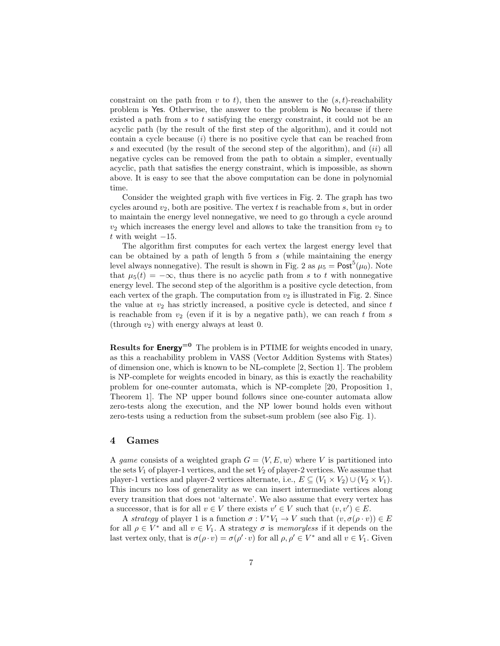constraint on the path from v to t), then the answer to the  $(s, t)$ -reachability problem is Yes. Otherwise, the answer to the problem is No because if there existed a path from  $s$  to  $t$  satisfying the energy constraint, it could not be an acyclic path (by the result of the first step of the algorithm), and it could not contain a cycle because  $(i)$  there is no positive cycle that can be reached from s and executed (by the result of the second step of the algorithm), and  $(ii)$  all negative cycles can be removed from the path to obtain a simpler, eventually acyclic, path that satisfies the energy constraint, which is impossible, as shown above. It is easy to see that the above computation can be done in polynomial time.

Consider the weighted graph with five vertices in Fig. 2. The graph has two cycles around  $v_2$ , both are positive. The vertex t is reachable from s, but in order to maintain the energy level nonnegative, we need to go through a cycle around  $v_2$  which increases the energy level and allows to take the transition from  $v_2$  to t with weight  $-15$ .

The algorithm first computes for each vertex the largest energy level that can be obtained by a path of length  $5$  from  $s$  (while maintaining the energy level always nonnegative). The result is shown in Fig. 2 as  $\mu_5 = \text{Post}^5(\mu_0)$ . Note that  $\mu_5(t) = -\infty$ , thus there is no acyclic path from s to t with nonnegative energy level. The second step of the algorithm is a positive cycle detection, from each vertex of the graph. The computation from  $v_2$  is illustrated in Fig. 2. Since the value at  $v_2$  has strictly increased, a positive cycle is detected, and since  $t$ is reachable from  $v_2$  (even if it is by a negative path), we can reach t from s (through  $v_2$ ) with energy always at least 0.

**Results for Energy<sup>** $=0$ **</sup>** The problem is in PTIME for weights encoded in unary, as this a reachability problem in VASS (Vector Addition Systems with States) of dimension one, which is known to be NL-complete [2, Section 1]. The problem is NP-complete for weights encoded in binary, as this is exactly the reachability problem for one-counter automata, which is NP-complete [20, Proposition 1, Theorem 1]. The NP upper bound follows since one-counter automata allow zero-tests along the execution, and the NP lower bound holds even without zero-tests using a reduction from the subset-sum problem (see also Fig. 1).

#### 4 Games

A game consists of a weighted graph  $G = \langle V, E, w \rangle$  where V is partitioned into the sets  $V_1$  of player-1 vertices, and the set  $V_2$  of player-2 vertices. We assume that player-1 vertices and player-2 vertices alternate, i.e.,  $E \subseteq (V_1 \times V_2) \cup (V_2 \times V_1)$ . This incurs no loss of generality as we can insert intermediate vertices along every transition that does not 'alternate'. We also assume that every vertex has a successor, that is for all  $v \in V$  there exists  $v' \in V$  such that  $(v, v') \in E$ .

A strategy of player 1 is a function  $\sigma: V^*V_1 \to V$  such that  $(v, \sigma(\rho \cdot v)) \in E$ for all  $\rho \in V^*$  and all  $v \in V_1$ . A strategy  $\sigma$  is memoryless if it depends on the last vertex only, that is  $\sigma(\rho \cdot v) = \sigma(\rho' \cdot v)$  for all  $\rho, \rho' \in V^*$  and all  $v \in V_1$ . Given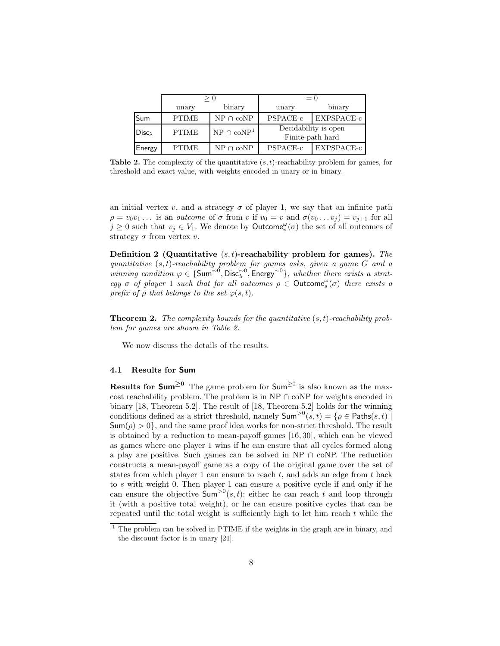|                   |              |                 | $= 0$                                    |            |
|-------------------|--------------|-----------------|------------------------------------------|------------|
|                   | unary        | binary          | unary                                    | binary     |
| Sum               | <b>PTIME</b> | $NP \cap coNP$  | PSPACE-c                                 | EXPSPACE-c |
| Disc <sub>λ</sub> | <b>PTIME</b> | $NP \cap coNP1$ | Decidability is open<br>Finite-path hard |            |
| Energy            | <b>PTIME</b> | $NP \cap coNP$  | PSPACE-c                                 | EXPSPACE-c |

**Table 2.** The complexity of the quantitative  $(s, t)$ -reachability problem for games, for threshold and exact value, with weights encoded in unary or in binary.

an initial vertex v, and a strategy  $\sigma$  of player 1, we say that an infinite path  $\rho = v_0v_1...$  is an *outcome* of  $\sigma$  from v if  $v_0 = v$  and  $\sigma(v_0...v_i) = v_{i+1}$  for all  $j \geq 0$  such that  $v_j \in V_1$ . We denote by Outcome<sup> $\omega$ </sup>( $\sigma$ ) the set of all outcomes of strategy  $\sigma$  from vertex v.

Definition 2 (Quantitative  $(s, t)$ -reachability problem for games). The quantitative  $(s, t)$ -reachability problem for games asks, given a game  $G$  and a winning condition  $\varphi \in \{\textsf{Sum}^{\sim 0}, \textsf{Disc}^{\sim 0}_\lambda, \textsf{Energy}^{\sim 0}\},$  whether there exists a strategy  $\sigma$  of player 1 such that for all outcomes  $\rho \in$  Outcome<sup> $\omega$ </sup>( $\sigma$ ) there exists a prefix of  $\rho$  that belongs to the set  $\varphi(s,t)$ .

**Theorem 2.** The complexity bounds for the quantitative  $(s, t)$ -reachability problem for games are shown in Table 2.

We now discuss the details of the results.

#### 4.1 Results for Sum

**Results for Sum<sup>≥0</sup>** The game problem for Sum<sup>≥0</sup> is also known as the maxcost reachability problem. The problem is in  $NP \cap coNP$  for weights encoded in binary [18, Theorem 5.2]. The result of [18, Theorem 5.2] holds for the winning conditions defined as a strict threshold, namely  $\mathsf{Sum}^{>0}(s,t) = \{ \rho \in \mathsf{Paths}(s,t) \mid$  $\textsf{Sum}(\rho) > 0$ , and the same proof idea works for non-strict threshold. The result is obtained by a reduction to mean-payoff games [16, 30], which can be viewed as games where one player 1 wins if he can ensure that all cycles formed along a play are positive. Such games can be solved in NP ∩ coNP. The reduction constructs a mean-payoff game as a copy of the original game over the set of states from which player 1 can ensure to reach  $t$ , and adds an edge from  $t$  back to s with weight 0. Then player 1 can ensure a positive cycle if and only if he can ensure the objective  $\operatorname{Sum}^{>0}(s,t)$ : either he can reach t and loop through it (with a positive total weight), or he can ensure positive cycles that can be repeated until the total weight is sufficiently high to let him reach  $t$  while the

<sup>&</sup>lt;sup>1</sup> The problem can be solved in PTIME if the weights in the graph are in binary, and the discount factor is in unary [21].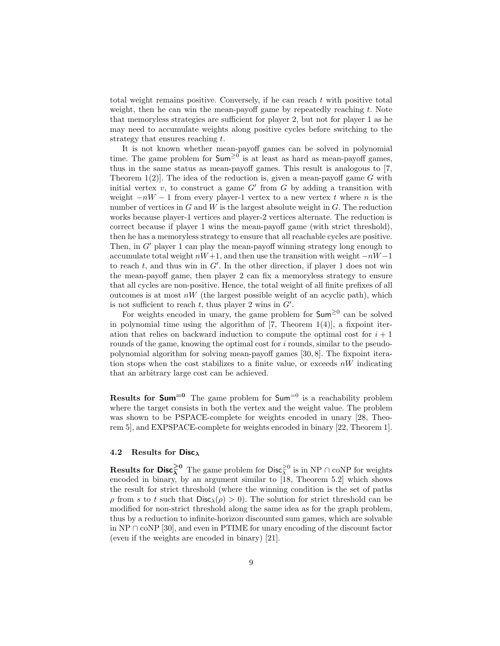total weight remains positive. Conversely, if he can reach t with positive total weight, then he can win the mean-payoff game by repeatedly reaching  $t$ . Note that memoryless strategies are sufficient for player 2, but not for player 1 as he may need to accumulate weights along positive cycles before switching to the strategy that ensures reaching  $t$ .

It is not known whether mean-payoff games can be solved in polynomial time. The game problem for  $Sum^{\geq 0}$  is at least as hard as mean-payoff games, thus in the same status as mean-payoff games. This result is analogous to [7, Theorem 1(2). The idea of the reduction is, given a mean-payoff game  $G$  with initial vertex  $v$ , to construct a game  $G'$  from  $G$  by adding a transition with weight  $-nW - 1$  from every player-1 vertex to a new vertex t where n is the number of vertices in  $G$  and  $W$  is the largest absolute weight in  $G$ . The reduction works because player-1 vertices and player-2 vertices alternate. The reduction is correct because if player 1 wins the mean-payoff game (with strict threshold), then he has a memoryless strategy to ensure that all reachable cycles are positive. Then, in  $G'$  player 1 can play the mean-payoff winning strategy long enough to accumulate total weight  $nW+1$ , and then use the transition with weight  $-nW-1$ to reach  $t$ , and thus win in  $G'$ . In the other direction, if player 1 does not win the mean-payoff game, then player 2 can fix a memoryless strategy to ensure that all cycles are non-positive. Hence, the total weight of all finite prefixes of all outcomes is at most  $nW$  (the largest possible weight of an acyclic path), which is not sufficient to reach  $t$ , thus player 2 wins in  $G'$ .

For weights encoded in unary, the game problem for  $Sum^{\geq 0}$  can be solved in polynomial time using the algorithm of  $[7,$  Theorem  $1(4)$ , a fixpoint iteration that relies on backward induction to compute the optimal cost for  $i + 1$ rounds of the game, knowing the optimal cost for i rounds, similar to the pseudopolynomial algorithm for solving mean-payoff games [30, 8]. The fixpoint iteration stops when the cost stabilizes to a finite value, or exceeds  $nW$  indicating that an arbitrary large cost can be achieved.

**Results for Sum<sup>=0</sup>** The game problem for Sum<sup>=0</sup> is a reachability problem where the target consists in both the vertex and the weight value. The problem was shown to be PSPACE-complete for weights encoded in unary [28, Theorem 5], and EXPSPACE-complete for weights encoded in binary [22, Theorem 1].

#### 4.2 Results for  $Disc_{\lambda}$

**Results for Disc** $\geq^0$  The game problem for Disc<sup>20</sup> is in NP ∩ coNP for weights encoded in binary, by an argument similar to [18, Theorem 5.2] which shows the result for strict threshold (where the winning condition is the set of paths  $ρ$  from s to t such that  $Disc<sub>λ</sub>(ρ) > 0$ . The solution for strict threshold can be modified for non-strict threshold along the same idea as for the graph problem, thus by a reduction to infinite-horizon discounted sum games, which are solvable in NP ∩ coNP [30], and even in PTIME for unary encoding of the discount factor (even if the weights are encoded in binary) [21].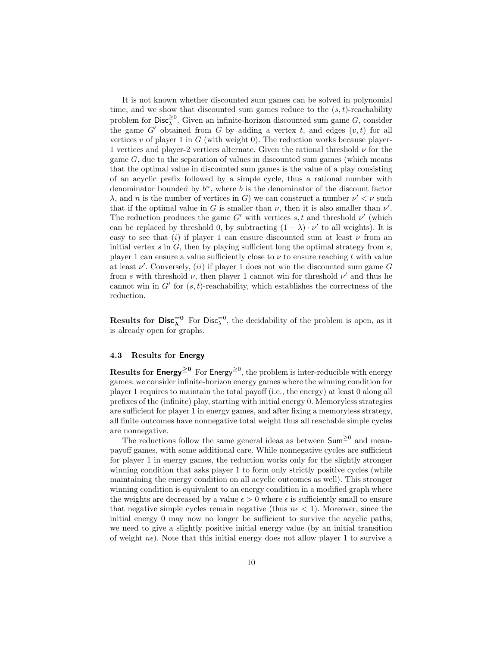It is not known whether discounted sum games can be solved in polynomial time, and we show that discounted sum games reduce to the  $(s, t)$ -reachability problem for  $Disc_{\lambda}^{\geq 0}$ . Given an infinite-horizon discounted sum game G, consider the game  $G'$  obtained from G by adding a vertex t, and edges  $(v, t)$  for all vertices v of player 1 in  $G$  (with weight 0). The reduction works because player-1 vertices and player-2 vertices alternate. Given the rational threshold  $\nu$  for the game  $G$ , due to the separation of values in discounted sum games (which means that the optimal value in discounted sum games is the value of a play consisting of an acyclic prefix followed by a simple cycle, thus a rational number with denominator bounded by  $b<sup>n</sup>$ , where b is the denominator of the discount factor λ, and *n* is the number of vertices in *G*) we can construct a number  $\nu' < \nu$  such that if the optimal value in G is smaller than  $\nu$ , then it is also smaller than  $\nu'$ . The reduction produces the game  $G'$  with vertices s, t and threshold  $\nu'$  (which can be replaced by threshold 0, by subtracting  $(1 - \lambda) \cdot \nu'$  to all weights). It is easy to see that (i) if player 1 can ensure discounted sum at least  $\nu$  from an initial vertex  $s$  in  $G$ , then by playing sufficient long the optimal strategy from  $s$ , player 1 can ensure a value sufficiently close to  $\nu$  to ensure reaching t with value at least  $\nu'$ . Conversely, (ii) if player 1 does not win the discounted sum game G from s with threshold  $\nu$ , then player 1 cannot win for threshold  $\nu'$  and thus he cannot win in  $G'$  for  $(s, t)$ -reachability, which establishes the correctness of the reduction.

**Results for Disc**<sup>{-0}</sup> For Disc<sup>{-0}</sup>, the decidability of the problem is open, as it is already open for graphs.

#### 4.3 Results for Energy

Results for Energy<sup>≥0</sup> For Energy<sup>≥0</sup>, the problem is inter-reducible with energy games: we consider infinite-horizon energy games where the winning condition for player 1 requires to maintain the total payoff (i.e., the energy) at least 0 along all prefixes of the (infinite) play, starting with initial energy 0. Memoryless strategies are sufficient for player 1 in energy games, and after fixing a memoryless strategy, all finite outcomes have nonnegative total weight thus all reachable simple cycles are nonnegative.

The reductions follow the same general ideas as between  $Sum^{\geq 0}$  and meanpayoff games, with some additional care. While nonnegative cycles are sufficient for player 1 in energy games, the reduction works only for the slightly stronger winning condition that asks player 1 to form only strictly positive cycles (while maintaining the energy condition on all acyclic outcomes as well). This stronger winning condition is equivalent to an energy condition in a modified graph where the weights are decreased by a value  $\epsilon > 0$  where  $\epsilon$  is sufficiently small to ensure that negative simple cycles remain negative (thus  $n\epsilon < 1$ ). Moreover, since the initial energy 0 may now no longer be sufficient to survive the acyclic paths, we need to give a slightly positive initial energy value (by an initial transition of weight  $n\epsilon$ ). Note that this initial energy does not allow player 1 to survive a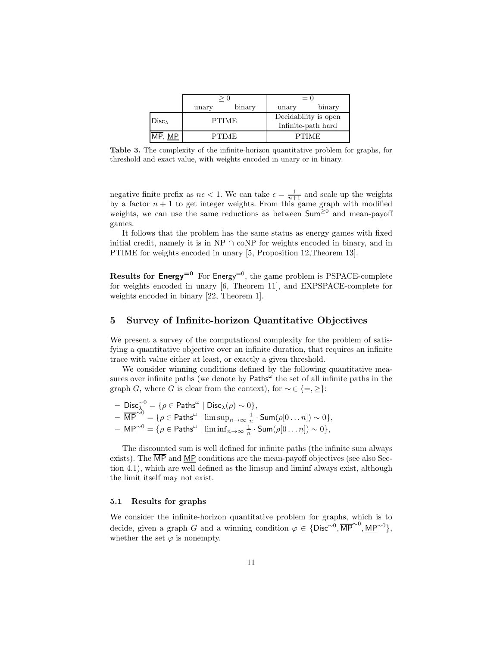|                   |              |        | $= 0$                |        |
|-------------------|--------------|--------|----------------------|--------|
|                   | unary        | binary | unary                | binary |
| Disc <sub>λ</sub> | <b>PTIME</b> |        | Decidability is open |        |
|                   |              |        | Infinite-path hard   |        |
| MP.<br>ΜP         | PTIME.       |        | PTIME.               |        |

Table 3. The complexity of the infinite-horizon quantitative problem for graphs, for threshold and exact value, with weights encoded in unary or in binary.

negative finite prefix as  $n\epsilon < 1$ . We can take  $\epsilon = \frac{1}{n+1}$  and scale up the weights by a factor  $n + 1$  to get integer weights. From this game graph with modified weights, we can use the same reductions as between  $Sum^{\geq 0}$  and mean-payoff games.

It follows that the problem has the same status as energy games with fixed initial credit, namely it is in NP  $\cap$  coNP for weights encoded in binary, and in PTIME for weights encoded in unary [5, Proposition 12,Theorem 13].

**Results for Energy<sup>=0</sup>** For Energy<sup>=0</sup>, the game problem is PSPACE-complete for weights encoded in unary [6, Theorem 11], and EXPSPACE-complete for weights encoded in binary [22, Theorem 1].

# 5 Survey of Infinite-horizon Quantitative Objectives

We present a survey of the computational complexity for the problem of satisfying a quantitative objective over an infinite duration, that requires an infinite trace with value either at least, or exactly a given threshold.

We consider winning conditions defined by the following quantitative measures over infinite paths (we denote by  $\mathsf{Paths}^{\omega}$  the set of all infinite paths in the graph G, where G is clear from the context), for  $\sim \in \{ =, \geq \}$ :

 $-$  Disc $\hat{X}^0 = \{ \rho \in$  Paths $\omega$  | Disc $_{\lambda}(\rho) \sim 0 \},$  $-\overline{\mathsf{MP}}^{\sim 0} = \{ \rho \in \mathsf{Paths}^\omega \mid \limsup_{n \to \infty} \frac{1}{n} \cdot \mathsf{Sum}(\rho[0 \dots n]) \sim 0 \},$  $- \underline{\mathsf{MP}}^{\sim 0} = \{ \rho \in \mathsf{Paths}^\omega \mid \liminf_{n \to \infty} \frac{1}{n} \cdot \mathsf{Sum}(\rho[0 \dots n]) \sim 0 \},$ 

The discounted sum is well defined for infinite paths (the infinite sum always exists). The MP and MP conditions are the mean-payoff objectives (see also Section 4.1), which are well defined as the limsup and liminf always exist, although the limit itself may not exist.

#### 5.1 Results for graphs

We consider the infinite-horizon quantitative problem for graphs, which is to decide, given a graph G and a winning condition  $\varphi \in \{Disc^{\sim 0}, \overline{MP}^{\sim 0}, MP^{\sim 0}\},$ whether the set  $\varphi$  is nonempty.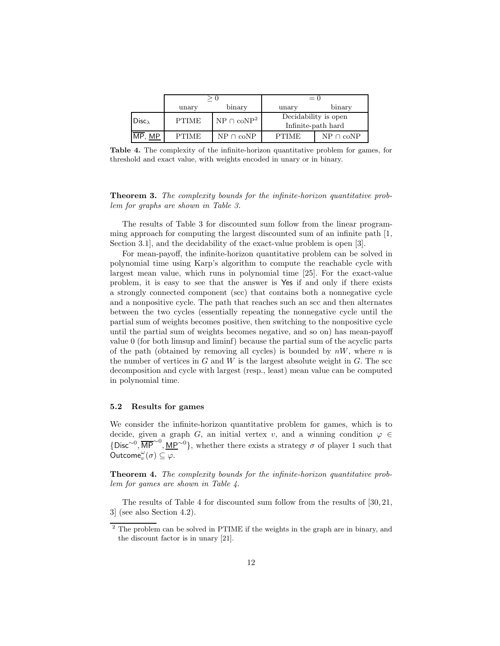|                                       |              |                  | $= 0$                                      |                |
|---------------------------------------|--------------|------------------|--------------------------------------------|----------------|
|                                       | unary        | binary           | unary                                      | binary         |
| Disc <sub>λ</sub>                     | <b>PTIME</b> | $NP \cap coNP^2$ | Decidability is open<br>Infinite-path hard |                |
| $\overline{\mathsf{MP}}, \mathsf{MP}$ | <b>PTIME</b> | $NP \cap coNP$   | <b>PTIME</b>                               | $NP \cap coNP$ |

Table 4. The complexity of the infinite-horizon quantitative problem for games, for threshold and exact value, with weights encoded in unary or in binary.

Theorem 3. The complexity bounds for the infinite-horizon quantitative problem for graphs are shown in Table 3.

The results of Table 3 for discounted sum follow from the linear programming approach for computing the largest discounted sum of an infinite path [1, Section 3.1], and the decidability of the exact-value problem is open [3].

For mean-payoff, the infinite-horizon quantitative problem can be solved in polynomial time using Karp's algorithm to compute the reachable cycle with largest mean value, which runs in polynomial time [25]. For the exact-value problem, it is easy to see that the answer is Yes if and only if there exists a strongly connected component (scc) that contains both a nonnegative cycle and a nonpositive cycle. The path that reaches such an scc and then alternates between the two cycles (essentially repeating the nonnegative cycle until the partial sum of weights becomes positive, then switching to the nonpositive cycle until the partial sum of weights becomes negative, and so on) has mean-payoff value 0 (for both limsup and liminf) because the partial sum of the acyclic parts of the path (obtained by removing all cycles) is bounded by  $nW$ , where n is the number of vertices in  $G$  and  $W$  is the largest absolute weight in  $G$ . The scc decomposition and cycle with largest (resp., least) mean value can be computed in polynomial time.

#### 5.2 Results for games

We consider the infinite-horizon quantitative problem for games, which is to decide, given a graph G, an initial vertex v, and a winning condition  $\varphi \in$  $\{Disc<sup>0</sup>, \overline{MP}<sup>0</sup>, \underline{MP}<sup>0</sup>\}$ , whether there exists a strategy  $\sigma$  of player 1 such that Outcome $_{v}^{\omega}(\sigma) \subseteq \varphi$ .

Theorem 4. The complexity bounds for the infinite-horizon quantitative problem for games are shown in Table 4.

The results of Table 4 for discounted sum follow from the results of [30, 21, 3] (see also Section 4.2).

<sup>&</sup>lt;sup>2</sup> The problem can be solved in PTIME if the weights in the graph are in binary, and the discount factor is in unary [21].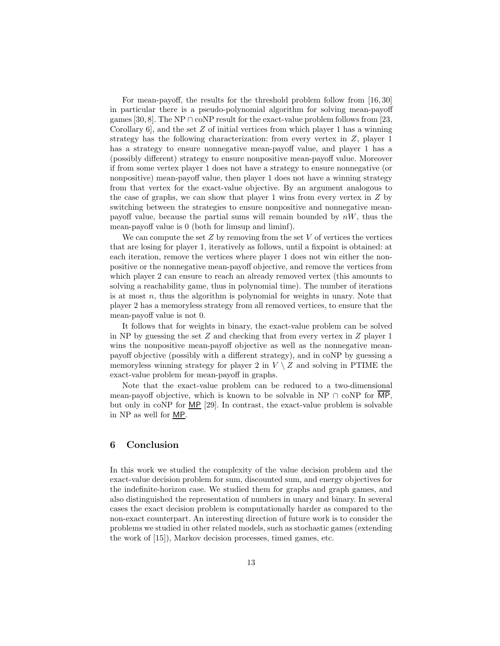For mean-payoff, the results for the threshold problem follow from [16, 30] in particular there is a pseudo-polynomial algorithm for solving mean-payoff games [30, 8]. The NP ∩ coNP result for the exact-value problem follows from [23, Corollary  $6$ , and the set  $Z$  of initial vertices from which player 1 has a winning strategy has the following characterization: from every vertex in Z, player 1 has a strategy to ensure nonnegative mean-payoff value, and player 1 has a (possibly different) strategy to ensure nonpositive mean-payoff value. Moreover if from some vertex player 1 does not have a strategy to ensure nonnegative (or nonpositive) mean-payoff value, then player 1 does not have a winning strategy from that vertex for the exact-value objective. By an argument analogous to the case of graphs, we can show that player 1 wins from every vertex in Z by switching between the strategies to ensure nonpositive and nonnegative meanpayoff value, because the partial sums will remain bounded by  $nW$ , thus the mean-payoff value is 0 (both for limsup and liminf).

We can compute the set  $Z$  by removing from the set  $V$  of vertices the vertices that are losing for player 1, iteratively as follows, until a fixpoint is obtained: at each iteration, remove the vertices where player 1 does not win either the nonpositive or the nonnegative mean-payoff objective, and remove the vertices from which player 2 can ensure to reach an already removed vertex (this amounts to solving a reachability game, thus in polynomial time). The number of iterations is at most  $n$ , thus the algorithm is polynomial for weights in unary. Note that player 2 has a memoryless strategy from all removed vertices, to ensure that the mean-payoff value is not 0.

It follows that for weights in binary, the exact-value problem can be solved in NP by guessing the set  $Z$  and checking that from every vertex in  $Z$  player 1 wins the nonpositive mean-payoff objective as well as the nonnegative meanpayoff objective (possibly with a different strategy), and in coNP by guessing a memoryless winning strategy for player 2 in  $V \setminus Z$  and solving in PTIME the exact-value problem for mean-payoff in graphs.

Note that the exact-value problem can be reduced to a two-dimensional mean-payoff objective, which is known to be solvable in NP  $\cap$  coNP for  $\overline{MP}$ , but only in coNP for MP [29]. In contrast, the exact-value problem is solvable in NP as well for MP.

# 6 Conclusion

In this work we studied the complexity of the value decision problem and the exact-value decision problem for sum, discounted sum, and energy objectives for the indefinite-horizon case. We studied them for graphs and graph games, and also distinguished the representation of numbers in unary and binary. In several cases the exact decision problem is computationally harder as compared to the non-exact counterpart. An interesting direction of future work is to consider the problems we studied in other related models, such as stochastic games (extending the work of [15]), Markov decision processes, timed games, etc.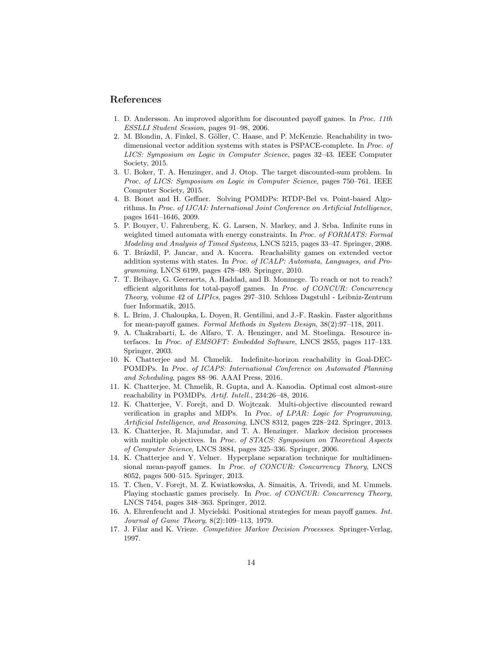### References

- 1. D. Andersson. An improved algorithm for discounted payoff games. In *Proc. 11th ESSLLI Student Session*, pages 91–98, 2006.
- 2. M. Blondin, A. Finkel, S. Göller, C. Haase, and P. McKenzie. Reachability in twodimensional vector addition systems with states is PSPACE-complete. In *Proc. of LICS: Symposium on Logic in Computer Science*, pages 32–43. IEEE Computer Society, 2015.
- 3. U. Boker, T. A. Henzinger, and J. Otop. The target discounted-sum problem. In *Proc. of LICS: Symposium on Logic in Computer Science*, pages 750–761. IEEE Computer Society, 2015.
- 4. B. Bonet and H. Geffner. Solving POMDPs: RTDP-Bel vs. Point-based Algorithms. In *Proc. of IJCAI: International Joint Conference on Artificial Intelligence*, pages 1641–1646, 2009.
- 5. P. Bouyer, U. Fahrenberg, K. G. Larsen, N. Markey, and J. Srba. Infinite runs in weighted timed automata with energy constraints. In *Proc. of FORMATS: Formal Modeling and Analysis of Timed Systems*, LNCS 5215, pages 33–47. Springer, 2008.
- 6. T. Brázdil, P. Jancar, and A. Kucera. Reachability games on extended vector addition systems with states. In *Proc. of ICALP: Automata, Languages, and Programming*, LNCS 6199, pages 478–489. Springer, 2010.
- 7. T. Brihaye, G. Geeraerts, A. Haddad, and B. Monmege. To reach or not to reach? efficient algorithms for total-payoff games. In *Proc. of CONCUR: Concurrency Theory*, volume 42 of *LIPIcs*, pages 297–310. Schloss Dagstuhl - Leibniz-Zentrum fuer Informatik, 2015.
- 8. L. Brim, J. Chaloupka, L. Doyen, R. Gentilini, and J.-F. Raskin. Faster algorithms for mean-payoff games. *Formal Methods in System Design*, 38(2):97–118, 2011.
- 9. A. Chakrabarti, L. de Alfaro, T. A. Henzinger, and M. Stoelinga. Resource interfaces. In *Proc. of EMSOFT: Embedded Software*, LNCS 2855, pages 117–133. Springer, 2003.
- 10. K. Chatterjee and M. Chmelik. Indefinite-horizon reachability in Goal-DEC-POMDPs. In *Proc. of ICAPS: International Conference on Automated Planning and Scheduling*, pages 88–96. AAAI Press, 2016.
- 11. K. Chatterjee, M. Chmelik, R. Gupta, and A. Kanodia. Optimal cost almost-sure reachability in POMDPs. *Artif. Intell.*, 234:26–48, 2016.
- 12. K. Chatterjee, V. Forejt, and D. Wojtczak. Multi-objective discounted reward verification in graphs and MDPs. In *Proc. of LPAR: Logic for Programming, Artificial Intelligence, and Reasoning*, LNCS 8312, pages 228–242. Springer, 2013.
- 13. K. Chatterjee, R. Majumdar, and T. A. Henzinger. Markov decision processes with multiple objectives. In *Proc. of STACS: Symposium on Theoretical Aspects of Computer Science*, LNCS 3884, pages 325–336. Springer, 2006.
- 14. K. Chatterjee and Y. Velner. Hyperplane separation technique for multidimensional mean-payoff games. In *Proc. of CONCUR: Concurrency Theory*, LNCS 8052, pages 500–515. Springer, 2013.
- 15. T. Chen, V. Forejt, M. Z. Kwiatkowska, A. Simaitis, A. Trivedi, and M. Ummels. Playing stochastic games precisely. In *Proc. of CONCUR: Concurrency Theory*, LNCS 7454, pages 348–363. Springer, 2012.
- 16. A. Ehrenfeucht and J. Mycielski. Positional strategies for mean payoff games. *Int. Journal of Game Theory*, 8(2):109–113, 1979.
- 17. J. Filar and K. Vrieze. *Competitive Markov Decision Processes*. Springer-Verlag, 1997.